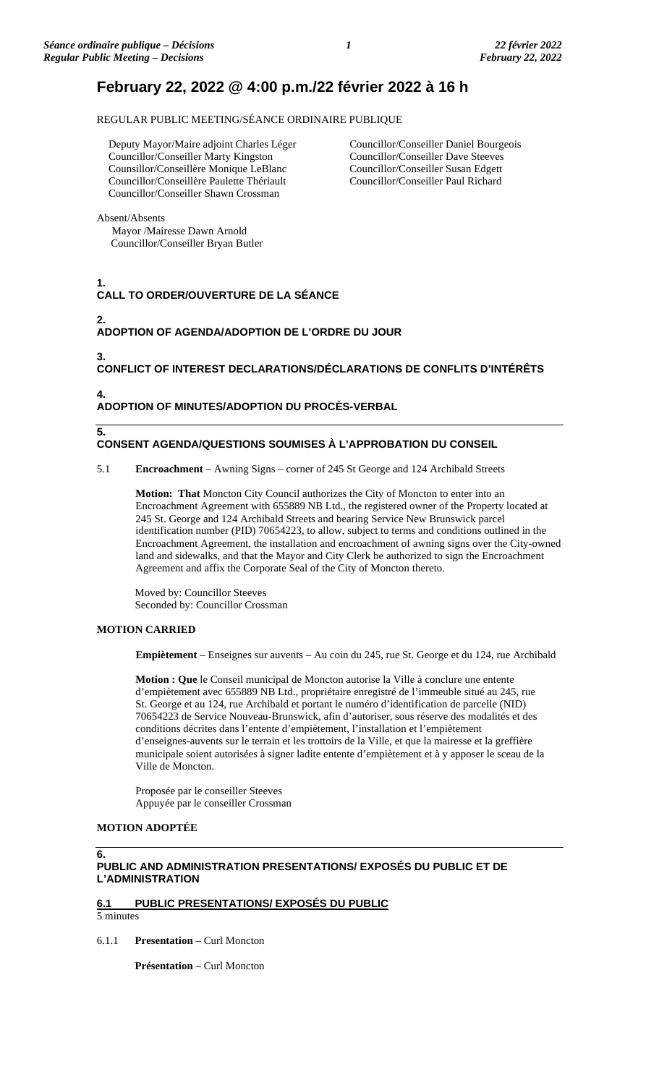# **February 22, 2022 @ 4:00 p.m./22 février 2022 à 16 h**

REGULAR PUBLIC MEETING/SÉANCE ORDINAIRE PUBLIQUE

Deputy Mayor/Maire adjoint Charles Léger Councillor/Conseiller Marty Kingston Counsillor/Conseillère Monique LeBlanc Councillor/Conseillère Paulette Thériault Councillor/Conseiller Shawn Crossman

Councillor/Conseiller Daniel Bourgeois Councillor/Conseiller Dave Steeves Councillor/Conseiller Susan Edgett Councillor/Conseiller Paul Richard

Absent/Absents

Mayor /Mairesse Dawn Arnold Councillor/Conseiller Bryan Butler

**1. CALL TO ORDER/OUVERTURE DE LA SÉANCE**

**2.**

**3.**

**5.**

**ADOPTION OF AGENDA/ADOPTION DE L'ORDRE DU JOUR**

**CONFLICT OF INTEREST DECLARATIONS/DÉCLARATIONS DE CONFLITS D'INTÉRÊTS**

**4. ADOPTION OF MINUTES/ADOPTION DU PROCÈS-VERBAL**

# **CONSENT AGENDA/QUESTIONS SOUMISES À L'APPROBATION DU CONSEIL**

5.1 **Encroachment** – Awning Signs – corner of 245 St George and 124 Archibald Streets

**Motion: That** Moncton City Council authorizes the City of Moncton to enter into an Encroachment Agreement with 655889 NB Ltd., the registered owner of the Property located at 245 St. George and 124 Archibald Streets and bearing Service New Brunswick parcel identification number (PID) 70654223, to allow, subject to terms and conditions outlined in the Encroachment Agreement, the installation and encroachment of awning signs over the City-owned land and sidewalks, and that the Mayor and City Clerk be authorized to sign the Encroachment Agreement and affix the Corporate Seal of the City of Moncton thereto.

Moved by: Councillor Steeves Seconded by: Councillor Crossman

# **MOTION CARRIED**

**Empiètement** – Enseignes sur auvents – Au coin du 245, rue St. George et du 124, rue Archibald

**Motion : Que** le Conseil municipal de Moncton autorise la Ville à conclure une entente d'empiètement avec 655889 NB Ltd., propriétaire enregistré de l'immeuble situé au 245, rue St. George et au 124, rue Archibald et portant le numéro d'identification de parcelle (NID) 70654223 de Service Nouveau-Brunswick, afin d'autoriser, sous réserve des modalités et des conditions décrites dans l'entente d'empiètement, l'installation et l'empiètement d'enseignes-auvents sur le terrain et les trottoirs de la Ville, et que la mairesse et la greffière municipale soient autorisées à signer ladite entente d'empiètement et à y apposer le sceau de la Ville de Moncton.

Proposée par le conseiller Steeves Appuyée par le conseiller Crossman

# **MOTION ADOPTÉE**

# **6. PUBLIC AND ADMINISTRATION PRESENTATIONS/ EXPOSÉS DU PUBLIC ET DE L'ADMINISTRATION**

# **6.1 PUBLIC PRESENTATIONS/ EXPOSÉS DU PUBLIC**

5 minutes

6.1.1 **Presentation** – Curl Moncton

**Présentation** – Curl Moncton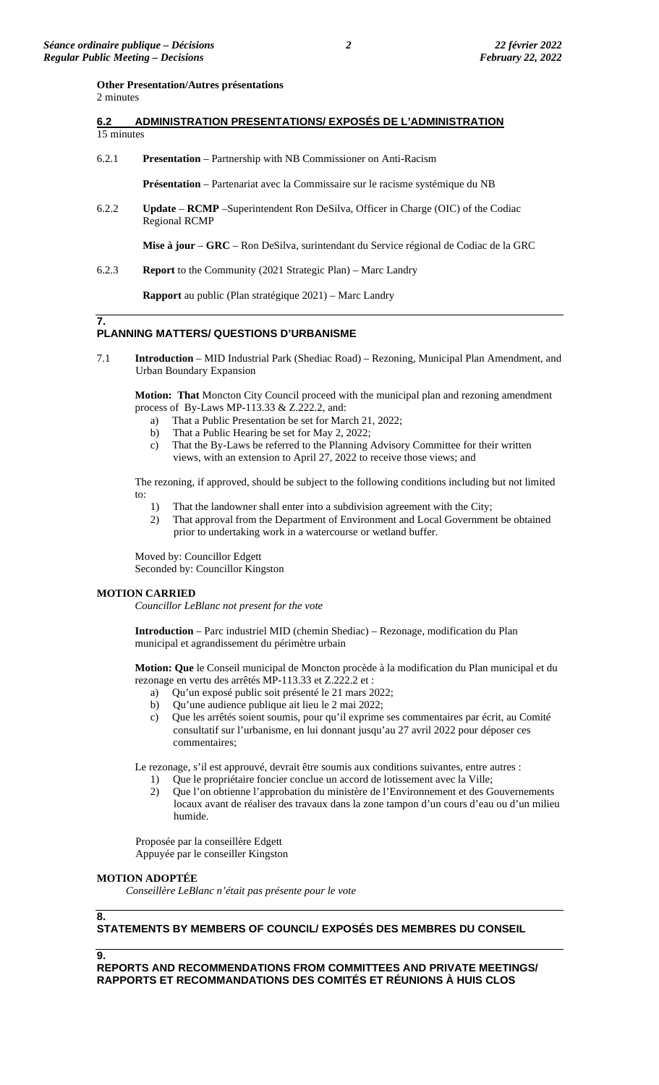#### **Other Presentation/Autres présentations**

2 minutes

- **6.2 ADMINISTRATION PRESENTATIONS/ EXPOSÉS DE L'ADMINISTRATION**  15 minutes
- 6.2.1 **Presentation** Partnership with NB Commissioner on Anti-Racism

**Présentation** – Partenariat avec la Commissaire sur le racisme systémique du NB

6.2.2 **Update** – **RCMP** –Superintendent Ron DeSilva, Officer in Charge (OIC) of the Codiac Regional RCMP

**Mise à jour** – **GRC** – Ron DeSilva, surintendant du Service régional de Codiac de la GRC

6.2.3 **Report** to the Community (2021 Strategic Plan) – Marc Landry

**Rapport** au public (Plan stratégique 2021) – Marc Landry

### **7. PLANNING MATTERS/ QUESTIONS D'URBANISME**

7.1 **Introduction** – MID Industrial Park (Shediac Road) – Rezoning, Municipal Plan Amendment, and Urban Boundary Expansion

**Motion: That** Moncton City Council proceed with the municipal plan and rezoning amendment process of By-Laws MP-113.33 & Z.222.2, and:

- a) That a Public Presentation be set for March 21, 2022;
- b) That a Public Hearing be set for May 2, 2022;
- c) That the By-Laws be referred to the Planning Advisory Committee for their written views, with an extension to April 27, 2022 to receive those views; and

The rezoning, if approved, should be subject to the following conditions including but not limited to:

- 1) That the landowner shall enter into a subdivision agreement with the City;
- 2) That approval from the Department of Environment and Local Government be obtained prior to undertaking work in a watercourse or wetland buffer.

Moved by: Councillor Edgett Seconded by: Councillor Kingston

# **MOTION CARRIED**

*Councillor LeBlanc not present for the vote*

**Introduction** – Parc industriel MID (chemin Shediac) – Rezonage, modification du Plan municipal et agrandissement du périmètre urbain

**Motion: Que** le Conseil municipal de Moncton procède à la modification du Plan municipal et du rezonage en vertu des arrêtés MP-113.33 et Z.222.2 et :

- a) Qu'un exposé public soit présenté le 21 mars 2022;
- b) Qu'une audience publique ait lieu le 2 mai 2022;
- c) Que les arrêtés soient soumis, pour qu'il exprime ses commentaires par écrit, au Comité consultatif sur l'urbanisme, en lui donnant jusqu'au 27 avril 2022 pour déposer ces commentaires;

Le rezonage, s'il est approuvé, devrait être soumis aux conditions suivantes, entre autres :

- 1) Que le propriétaire foncier conclue un accord de lotissement avec la Ville;
- 2) Que l'on obtienne l'approbation du ministère de l'Environnement et des Gouvernements locaux avant de réaliser des travaux dans la zone tampon d'un cours d'eau ou d'un milieu humide.

Proposée par la conseillère Edgett Appuyée par le conseiller Kingston

# **MOTION ADOPTÉE**

*Conseillère LeBlanc n'était pas présente pour le vote*

**8.**

# **STATEMENTS BY MEMBERS OF COUNCIL/ EXPOSÉS DES MEMBRES DU CONSEIL**

**9.**

**REPORTS AND RECOMMENDATIONS FROM COMMITTEES AND PRIVATE MEETINGS/ RAPPORTS ET RECOMMANDATIONS DES COMITÉS ET RÉUNIONS À HUIS CLOS**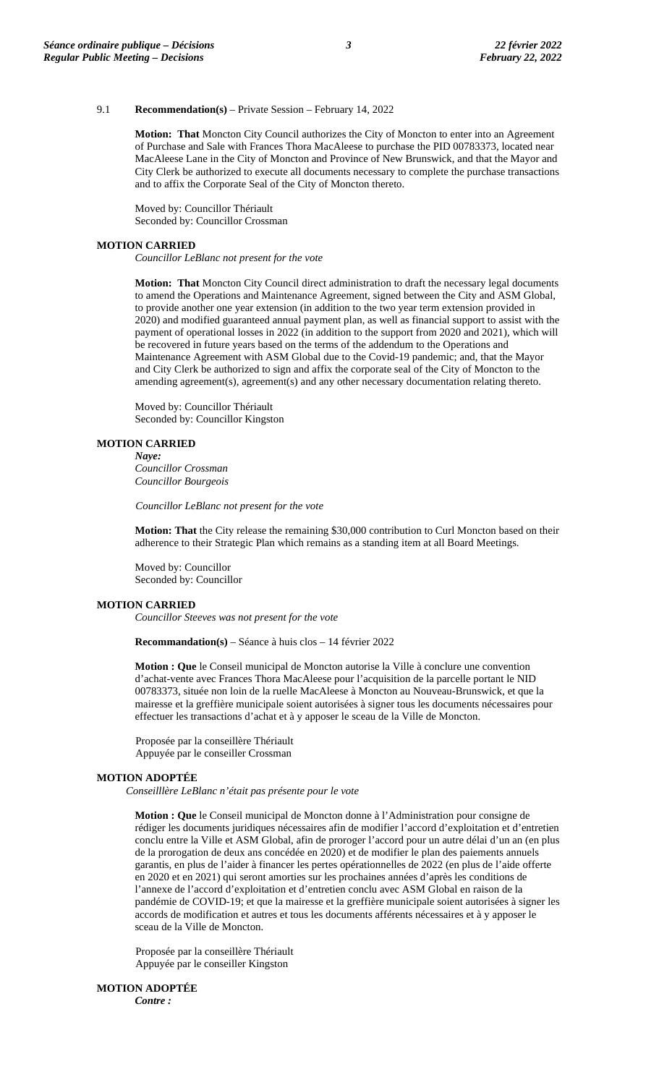# 9.1 **Recommendation(s)** – Private Session – February 14, 2022

**Motion: That** Moncton City Council authorizes the City of Moncton to enter into an Agreement of Purchase and Sale with Frances Thora MacAleese to purchase the PID 00783373, located near MacAleese Lane in the City of Moncton and Province of New Brunswick, and that the Mayor and City Clerk be authorized to execute all documents necessary to complete the purchase transactions and to affix the Corporate Seal of the City of Moncton thereto.

Moved by: Councillor Thériault Seconded by: Councillor Crossman

#### **MOTION CARRIED**

*Councillor LeBlanc not present for the vote*

**Motion: That** Moncton City Council direct administration to draft the necessary legal documents to amend the Operations and Maintenance Agreement, signed between the City and ASM Global, to provide another one year extension (in addition to the two year term extension provided in 2020) and modified guaranteed annual payment plan, as well as financial support to assist with the payment of operational losses in 2022 (in addition to the support from 2020 and 2021), which will be recovered in future years based on the terms of the addendum to the Operations and Maintenance Agreement with ASM Global due to the Covid-19 pandemic; and, that the Mayor and City Clerk be authorized to sign and affix the corporate seal of the City of Moncton to the amending agreement(s), agreement(s) and any other necessary documentation relating thereto.

Moved by: Councillor Thériault Seconded by: Councillor Kingston

#### **MOTION CARRIED**

*Naye: Councillor Crossman Councillor Bourgeois*

*Councillor LeBlanc not present for the vote*

**Motion: That** the City release the remaining \$30,000 contribution to Curl Moncton based on their adherence to their Strategic Plan which remains as a standing item at all Board Meetings.

Moved by: Councillor Seconded by: Councillor

# **MOTION CARRIED**

*Councillor Steeves was not present for the vote*

**Recommandation(s)** – Séance à huis clos – 14 février 2022

**Motion : Que** le Conseil municipal de Moncton autorise la Ville à conclure une convention d'achat-vente avec Frances Thora MacAleese pour l'acquisition de la parcelle portant le NID 00783373, située non loin de la ruelle MacAleese à Moncton au Nouveau-Brunswick, et que la mairesse et la greffière municipale soient autorisées à signer tous les documents nécessaires pour effectuer les transactions d'achat et à y apposer le sceau de la Ville de Moncton.

Proposée par la conseillère Thériault Appuyée par le conseiller Crossman

#### **MOTION ADOPTÉE**

*Conseilllère LeBlanc n'était pas présente pour le vote*

**Motion : Que** le Conseil municipal de Moncton donne à l'Administration pour consigne de rédiger les documents juridiques nécessaires afin de modifier l'accord d'exploitation et d'entretien conclu entre la Ville et ASM Global, afin de proroger l'accord pour un autre délai d'un an (en plus de la prorogation de deux ans concédée en 2020) et de modifier le plan des paiements annuels garantis, en plus de l'aider à financer les pertes opérationnelles de 2022 (en plus de l'aide offerte en 2020 et en 2021) qui seront amorties sur les prochaines années d'après les conditions de l'annexe de l'accord d'exploitation et d'entretien conclu avec ASM Global en raison de la pandémie de COVID-19; et que la mairesse et la greffière municipale soient autorisées à signer les accords de modification et autres et tous les documents afférents nécessaires et à y apposer le sceau de la Ville de Moncton.

Proposée par la conseillère Thériault Appuyée par le conseiller Kingston

**MOTION ADOPTÉE**

*Contre :*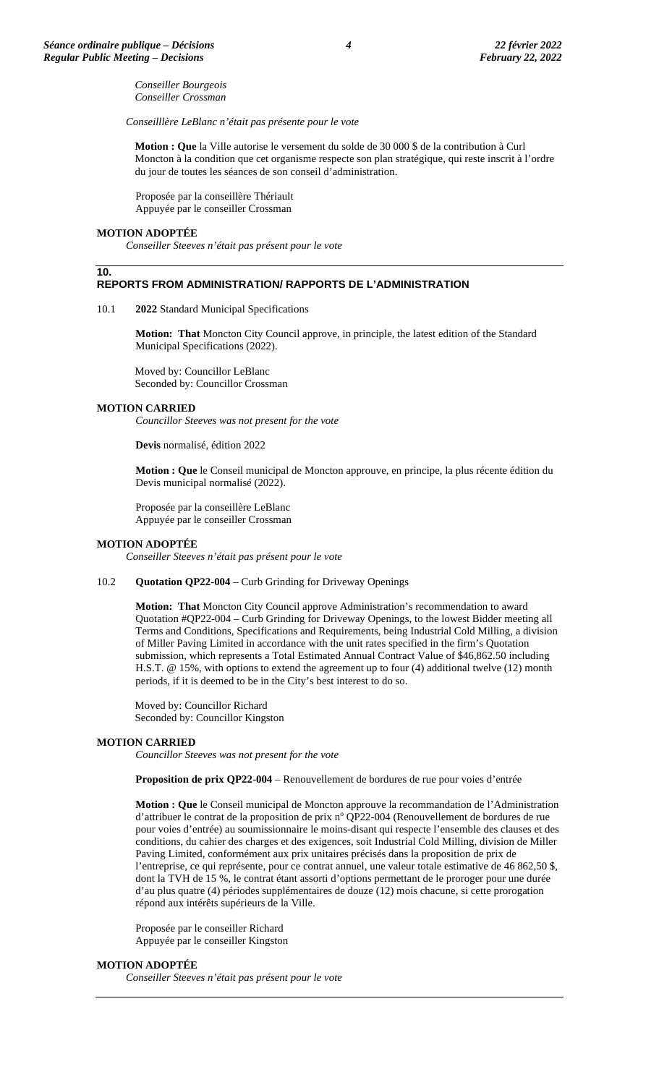*Conseiller Bourgeois Conseiller Crossman*

*Conseilllère LeBlanc n'était pas présente pour le vote*

**Motion : Que** la Ville autorise le versement du solde de 30 000 \$ de la contribution à Curl Moncton à la condition que cet organisme respecte son plan stratégique, qui reste inscrit à l'ordre du jour de toutes les séances de son conseil d'administration.

Proposée par la conseillère Thériault Appuyée par le conseiller Crossman

#### **MOTION ADOPTÉE**

**10.**

*Conseiller Steeves n'était pas présent pour le vote*

### **REPORTS FROM ADMINISTRATION/ RAPPORTS DE L'ADMINISTRATION**

#### 10.1 **2022** Standard Municipal Specifications

**Motion: That** Moncton City Council approve, in principle, the latest edition of the Standard Municipal Specifications (2022).

Moved by: Councillor LeBlanc Seconded by: Councillor Crossman

#### **MOTION CARRIED**

*Councillor Steeves was not present for the vote*

**Devis** normalisé, édition 2022

**Motion : Que** le Conseil municipal de Moncton approuve, en principe, la plus récente édition du Devis municipal normalisé (2022).

Proposée par la conseillère LeBlanc Appuyée par le conseiller Crossman

#### **MOTION ADOPTÉE**

*Conseiller Steeves n'était pas présent pour le vote*

#### 10.2 **Quotation QP22-004** – Curb Grinding for Driveway Openings

**Motion: That** Moncton City Council approve Administration's recommendation to award Quotation #QP22-004 – Curb Grinding for Driveway Openings, to the lowest Bidder meeting all Terms and Conditions, Specifications and Requirements, being Industrial Cold Milling, a division of Miller Paving Limited in accordance with the unit rates specified in the firm's Quotation submission, which represents a Total Estimated Annual Contract Value of \$46,862.50 including H.S.T. @ 15%, with options to extend the agreement up to four (4) additional twelve (12) month periods, if it is deemed to be in the City's best interest to do so.

Moved by: Councillor Richard Seconded by: Councillor Kingston

#### **MOTION CARRIED**

*Councillor Steeves was not present for the vote*

**Proposition de prix QP22-004** – Renouvellement de bordures de rue pour voies d'entrée

**Motion : Que** le Conseil municipal de Moncton approuve la recommandation de l'Administration d'attribuer le contrat de la proposition de prix nº QP22-004 (Renouvellement de bordures de rue pour voies d'entrée) au soumissionnaire le moins-disant qui respecte l'ensemble des clauses et des conditions, du cahier des charges et des exigences, soit Industrial Cold Milling, division de Miller Paving Limited, conformément aux prix unitaires précisés dans la proposition de prix de l'entreprise, ce qui représente, pour ce contrat annuel, une valeur totale estimative de 46 862,50 \$, dont la TVH de 15 %, le contrat étant assorti d'options permettant de le proroger pour une durée d'au plus quatre (4) périodes supplémentaires de douze (12) mois chacune, si cette prorogation répond aux intérêts supérieurs de la Ville.

Proposée par le conseiller Richard Appuyée par le conseiller Kingston

#### **MOTION ADOPTÉE**

*Conseiller Steeves n'était pas présent pour le vote*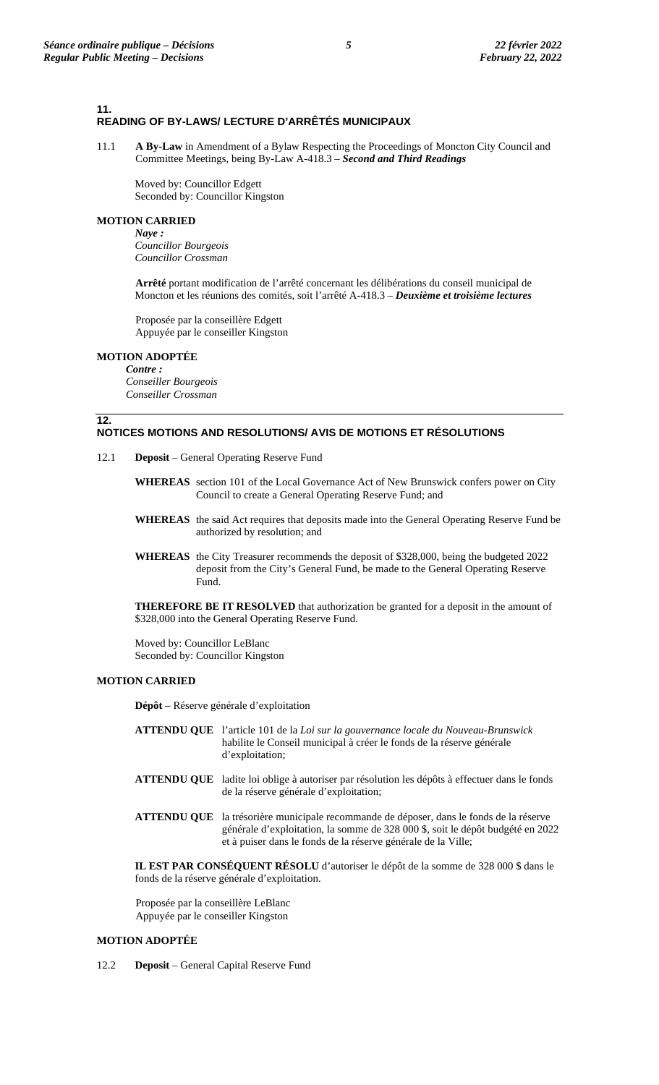### **11. READING OF BY-LAWS/ LECTURE D'ARRÊTÉS MUNICIPAUX**

11.1 **A By-Law** in Amendment of a Bylaw Respecting the Proceedings of Moncton City Council and Committee Meetings, being By-Law A-418.3 – *Second and Third Readings*

Moved by: Councillor Edgett Seconded by: Councillor Kingston

# **MOTION CARRIED**

*Naye : Councillor Bourgeois Councillor Crossman*

**Arrêté** portant modification de l'arrêté concernant les délibérations du conseil municipal de Moncton et les réunions des comités, soit l'arrêté A-418.3 – *Deuxième et troisième lectures*

Proposée par la conseillère Edgett Appuyée par le conseiller Kingston

#### **MOTION ADOPTÉE**

**12.**

*Contre : Conseiller Bourgeois Conseiller Crossman*

# **NOTICES MOTIONS AND RESOLUTIONS/ AVIS DE MOTIONS ET RÉSOLUTIONS**

- 12.1 **Deposit** General Operating Reserve Fund
	- **WHEREAS** section 101 of the Local Governance Act of New Brunswick confers power on City Council to create a General Operating Reserve Fund; and
	- **WHEREAS** the said Act requires that deposits made into the General Operating Reserve Fund be authorized by resolution; and
	- **WHEREAS** the City Treasurer recommends the deposit of \$328,000, being the budgeted 2022 deposit from the City's General Fund, be made to the General Operating Reserve Fund.

**THEREFORE BE IT RESOLVED** that authorization be granted for a deposit in the amount of \$328,000 into the General Operating Reserve Fund.

Moved by: Councillor LeBlanc Seconded by: Councillor Kingston

# **MOTION CARRIED**

**Dépôt** – Réserve générale d'exploitation

- **ATTENDU QUE** l'article 101 de la *Loi sur la gouvernance locale du Nouveau-Brunswick* habilite le Conseil municipal à créer le fonds de la réserve générale d'exploitation;
- **ATTENDU QUE** ladite loi oblige à autoriser par résolution les dépôts à effectuer dans le fonds de la réserve générale d'exploitation;
- **ATTENDU QUE** la trésorière municipale recommande de déposer, dans le fonds de la réserve générale d'exploitation, la somme de 328 000 \$, soit le dépôt budgété en 2022 et à puiser dans le fonds de la réserve générale de la Ville;

**IL EST PAR CONSÉQUENT RÉSOLU** d'autoriser le dépôt de la somme de 328 000 \$ dans le fonds de la réserve générale d'exploitation.

Proposée par la conseillère LeBlanc Appuyée par le conseiller Kingston

# **MOTION ADOPTÉE**

12.2 **Deposit** – General Capital Reserve Fund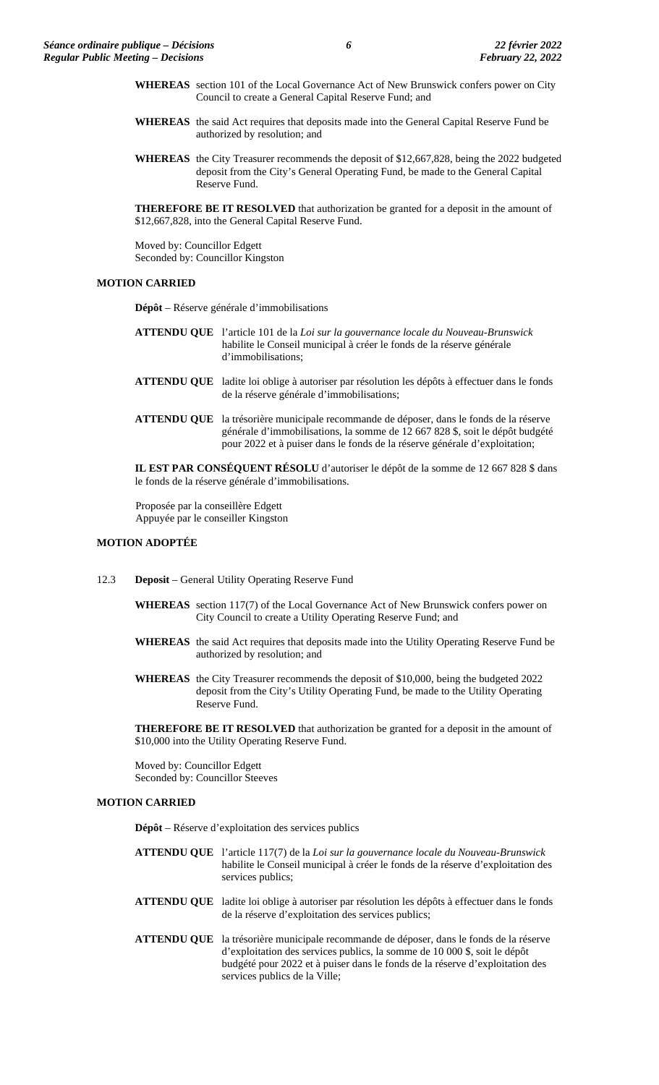- **WHEREAS** section 101 of the Local Governance Act of New Brunswick confers power on City Council to create a General Capital Reserve Fund; and
- **WHEREAS** the said Act requires that deposits made into the General Capital Reserve Fund be authorized by resolution; and
- **WHEREAS** the City Treasurer recommends the deposit of \$12,667,828, being the 2022 budgeted deposit from the City's General Operating Fund, be made to the General Capital Reserve Fund.

**THEREFORE BE IT RESOLVED** that authorization be granted for a deposit in the amount of \$12,667,828, into the General Capital Reserve Fund.

Moved by: Councillor Edgett Seconded by: Councillor Kingston

# **MOTION CARRIED**

**Dépôt** – Réserve générale d'immobilisations

- **ATTENDU QUE** l'article 101 de la *Loi sur la gouvernance locale du Nouveau-Brunswick* habilite le Conseil municipal à créer le fonds de la réserve générale d'immobilisations;
- **ATTENDU QUE** ladite loi oblige à autoriser par résolution les dépôts à effectuer dans le fonds de la réserve générale d'immobilisations;
- **ATTENDU QUE** la trésorière municipale recommande de déposer, dans le fonds de la réserve générale d'immobilisations, la somme de 12 667 828 \$, soit le dépôt budgété pour 2022 et à puiser dans le fonds de la réserve générale d'exploitation;

**IL EST PAR CONSÉQUENT RÉSOLU** d'autoriser le dépôt de la somme de 12 667 828 \$ dans le fonds de la réserve générale d'immobilisations.

Proposée par la conseillère Edgett Appuyée par le conseiller Kingston

# **MOTION ADOPTÉE**

- 12.3 **Deposit** General Utility Operating Reserve Fund
	- **WHEREAS** section 117(7) of the Local Governance Act of New Brunswick confers power on City Council to create a Utility Operating Reserve Fund; and
	- **WHEREAS** the said Act requires that deposits made into the Utility Operating Reserve Fund be authorized by resolution; and
	- **WHEREAS** the City Treasurer recommends the deposit of \$10,000, being the budgeted 2022 deposit from the City's Utility Operating Fund, be made to the Utility Operating Reserve Fund.

**THEREFORE BE IT RESOLVED** that authorization be granted for a deposit in the amount of \$10,000 into the Utility Operating Reserve Fund.

Moved by: Councillor Edgett Seconded by: Councillor Steeves

# **MOTION CARRIED**

**Dépôt** – Réserve d'exploitation des services publics

- **ATTENDU QUE** l'article 117(7) de la *Loi sur la gouvernance locale du Nouveau-Brunswick* habilite le Conseil municipal à créer le fonds de la réserve d'exploitation des services publics;
- **ATTENDU QUE** ladite loi oblige à autoriser par résolution les dépôts à effectuer dans le fonds de la réserve d'exploitation des services publics;
- **ATTENDU QUE** la trésorière municipale recommande de déposer, dans le fonds de la réserve d'exploitation des services publics, la somme de 10 000 \$, soit le dépôt budgété pour 2022 et à puiser dans le fonds de la réserve d'exploitation des services publics de la Ville;